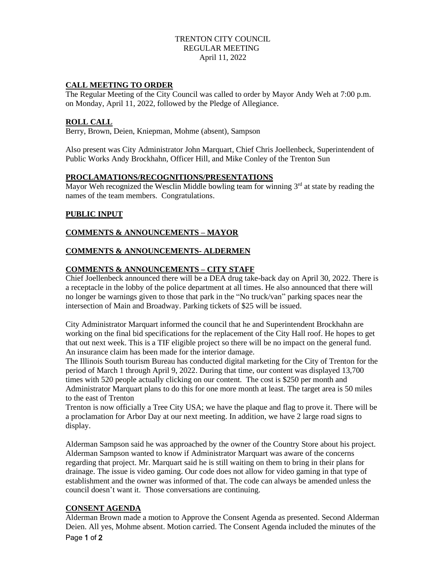# TRENTON CITY COUNCIL REGULAR MEETING April 11, 2022

### **CALL MEETING TO ORDER**

The Regular Meeting of the City Council was called to order by Mayor Andy Weh at 7:00 p.m. on Monday, April 11, 2022, followed by the Pledge of Allegiance.

### **ROLL CALL**

Berry, Brown, Deien, Kniepman, Mohme (absent), Sampson

Also present was City Administrator John Marquart, Chief Chris Joellenbeck, Superintendent of Public Works Andy Brockhahn, Officer Hill, and Mike Conley of the Trenton Sun

### **PROCLAMATIONS/RECOGNITIONS/PRESENTATIONS**

Mayor Weh recognized the Wesclin Middle bowling team for winning  $3<sup>rd</sup>$  at state by reading the names of the team members. Congratulations.

# **PUBLIC INPUT**

# **COMMENTS & ANNOUNCEMENTS – MAYOR**

### **COMMENTS & ANNOUNCEMENTS- ALDERMEN**

# **COMMENTS & ANNOUNCEMENTS – CITY STAFF**

Chief Joellenbeck announced there will be a DEA drug take-back day on April 30, 2022. There is a receptacle in the lobby of the police department at all times. He also announced that there will no longer be warnings given to those that park in the "No truck/van" parking spaces near the intersection of Main and Broadway. Parking tickets of \$25 will be issued.

City Administrator Marquart informed the council that he and Superintendent Brockhahn are working on the final bid specifications for the replacement of the City Hall roof. He hopes to get that out next week. This is a TIF eligible project so there will be no impact on the general fund. An insurance claim has been made for the interior damage.

The Illinois South tourism Bureau has conducted digital marketing for the City of Trenton for the period of March 1 through April 9, 2022. During that time, our content was displayed 13,700 times with 520 people actually clicking on our content. The cost is \$250 per month and Administrator Marquart plans to do this for one more month at least. The target area is 50 miles to the east of Trenton

Trenton is now officially a Tree City USA; we have the plaque and flag to prove it. There will be a proclamation for Arbor Day at our next meeting. In addition, we have 2 large road signs to display.

Alderman Sampson said he was approached by the owner of the Country Store about his project. Alderman Sampson wanted to know if Administrator Marquart was aware of the concerns regarding that project. Mr. Marquart said he is still waiting on them to bring in their plans for drainage. The issue is video gaming. Our code does not allow for video gaming in that type of establishment and the owner was informed of that. The code can always be amended unless the council doesn't want it. Those conversations are continuing.

### **CONSENT AGENDA**

Page 1 of 2 Alderman Brown made a motion to Approve the Consent Agenda as presented. Second Alderman Deien. All yes, Mohme absent. Motion carried. The Consent Agenda included the minutes of the